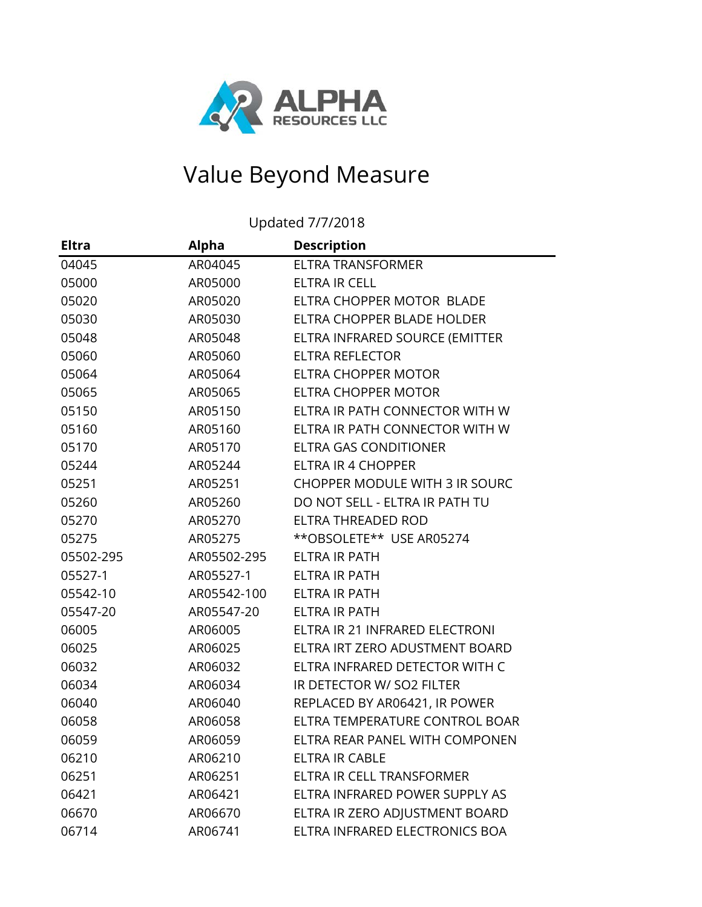

## Value Beyond Measure

Updated 7/7/2018

| <b>Eltra</b> | <b>Alpha</b> | <b>Description</b>                    |
|--------------|--------------|---------------------------------------|
| 04045        | AR04045      | <b>ELTRA TRANSFORMER</b>              |
| 05000        | AR05000      | ELTRA IR CELL                         |
| 05020        | AR05020      | ELTRA CHOPPER MOTOR BLADE             |
| 05030        | AR05030      | ELTRA CHOPPER BLADE HOLDER            |
| 05048        | AR05048      | ELTRA INFRARED SOURCE (EMITTER        |
| 05060        | AR05060      | <b>ELTRA REFLECTOR</b>                |
| 05064        | AR05064      | ELTRA CHOPPER MOTOR                   |
| 05065        | AR05065      | ELTRA CHOPPER MOTOR                   |
| 05150        | AR05150      | ELTRA IR PATH CONNECTOR WITH W        |
| 05160        | AR05160      | ELTRA IR PATH CONNECTOR WITH W        |
| 05170        | AR05170      | <b>ELTRA GAS CONDITIONER</b>          |
| 05244        | AR05244      | ELTRA IR 4 CHOPPER                    |
| 05251        | AR05251      | <b>CHOPPER MODULE WITH 3 IR SOURC</b> |
| 05260        | AR05260      | DO NOT SELL - ELTRA IR PATH TU        |
| 05270        | AR05270      | ELTRA THREADED ROD                    |
| 05275        | AR05275      | **OBSOLETE** USE AR05274              |
| 05502-295    | AR05502-295  | <b>ELTRA IR PATH</b>                  |
| 05527-1      | AR05527-1    | ELTRA IR PATH                         |
| 05542-10     | AR05542-100  | ELTRA IR PATH                         |
| 05547-20     | AR05547-20   | <b>ELTRA IR PATH</b>                  |
| 06005        | AR06005      | ELTRA IR 21 INFRARED ELECTRONI        |
| 06025        | AR06025      | ELTRA IRT ZERO ADUSTMENT BOARD        |
| 06032        | AR06032      | ELTRA INFRARED DETECTOR WITH C        |
| 06034        | AR06034      | IR DETECTOR W/ SO2 FILTER             |
| 06040        | AR06040      | REPLACED BY AR06421, IR POWER         |
| 06058        | AR06058      | ELTRA TEMPERATURE CONTROL BOAR        |
| 06059        | AR06059      | ELTRA REAR PANEL WITH COMPONEN        |
| 06210        | AR06210      | <b>ELTRA IR CABLE</b>                 |
| 06251        | AR06251      | ELTRA IR CELL TRANSFORMER             |
| 06421        | AR06421      | ELTRA INFRARED POWER SUPPLY AS        |
| 06670        | AR06670      | ELTRA IR ZERO ADJUSTMENT BOARD        |
| 06714        | AR06741      | ELTRA INFRARED ELECTRONICS BOA        |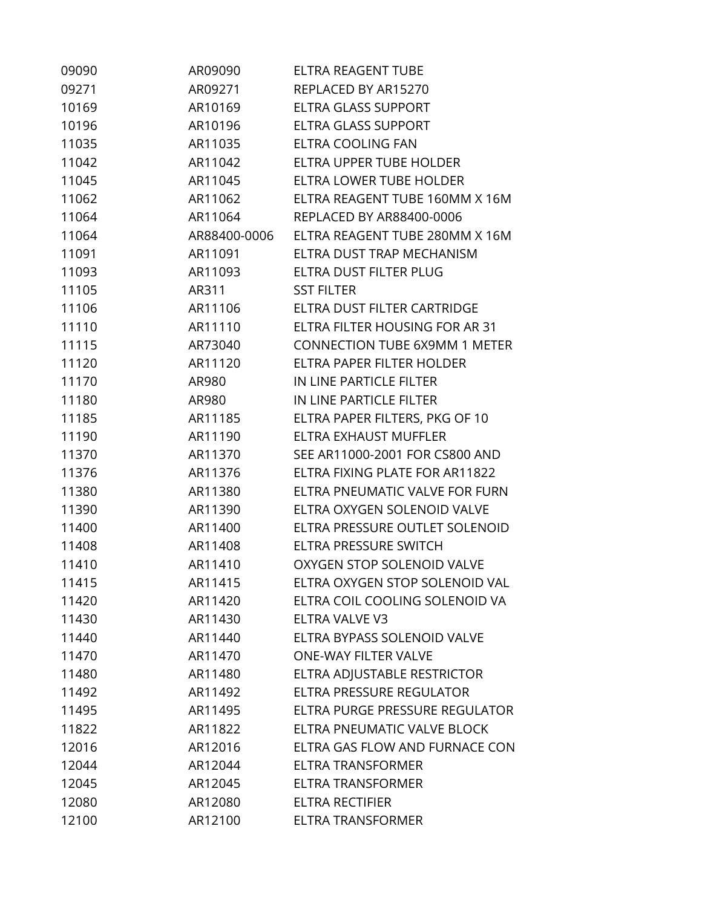| 09090 | AR09090      | <b>ELTRA REAGENT TUBE</b>            |
|-------|--------------|--------------------------------------|
| 09271 | AR09271      | REPLACED BY AR15270                  |
| 10169 | AR10169      | <b>ELTRA GLASS SUPPORT</b>           |
| 10196 | AR10196      | ELTRA GLASS SUPPORT                  |
| 11035 | AR11035      | ELTRA COOLING FAN                    |
| 11042 | AR11042      | ELTRA UPPER TUBE HOLDER              |
| 11045 | AR11045      | ELTRA LOWER TUBE HOLDER              |
| 11062 | AR11062      | ELTRA REAGENT TUBE 160MM X 16M       |
| 11064 | AR11064      | REPLACED BY AR88400-0006             |
| 11064 | AR88400-0006 | ELTRA REAGENT TUBE 280MM X 16M       |
| 11091 | AR11091      | ELTRA DUST TRAP MECHANISM            |
| 11093 | AR11093      | ELTRA DUST FILTER PLUG               |
| 11105 | AR311        | <b>SST FILTER</b>                    |
| 11106 | AR11106      | ELTRA DUST FILTER CARTRIDGE          |
| 11110 | AR11110      | ELTRA FILTER HOUSING FOR AR 31       |
| 11115 | AR73040      | <b>CONNECTION TUBE 6X9MM 1 METER</b> |
| 11120 | AR11120      | ELTRA PAPER FILTER HOLDER            |
| 11170 | AR980        | IN LINE PARTICLE FILTER              |
| 11180 | AR980        | IN LINE PARTICLE FILTER              |
| 11185 | AR11185      | ELTRA PAPER FILTERS, PKG OF 10       |
| 11190 | AR11190      | ELTRA EXHAUST MUFFLER                |
| 11370 | AR11370      | SEE AR11000-2001 FOR CS800 AND       |
| 11376 | AR11376      | ELTRA FIXING PLATE FOR AR11822       |
| 11380 | AR11380      | ELTRA PNEUMATIC VALVE FOR FURN       |
| 11390 | AR11390      | ELTRA OXYGEN SOLENOID VALVE          |
| 11400 | AR11400      | ELTRA PRESSURE OUTLET SOLENOID       |
| 11408 | AR11408      | ELTRA PRESSURE SWITCH                |
| 11410 | AR11410      | OXYGEN STOP SOLENOID VALVE           |
| 11415 | AR11415      | ELTRA OXYGEN STOP SOLENOID VAL       |
| 11420 | AR11420      | ELTRA COIL COOLING SOLENOID VA       |
| 11430 | AR11430      | ELTRA VALVE V3                       |
| 11440 | AR11440      | ELTRA BYPASS SOLENOID VALVE          |
| 11470 | AR11470      | <b>ONE-WAY FILTER VALVE</b>          |
| 11480 | AR11480      | ELTRA ADJUSTABLE RESTRICTOR          |
| 11492 | AR11492      | ELTRA PRESSURE REGULATOR             |
| 11495 | AR11495      | ELTRA PURGE PRESSURE REGULATOR       |
| 11822 | AR11822      | ELTRA PNEUMATIC VALVE BLOCK          |
| 12016 | AR12016      | ELTRA GAS FLOW AND FURNACE CON       |
| 12044 | AR12044      | <b>ELTRA TRANSFORMER</b>             |
| 12045 | AR12045      | <b>ELTRA TRANSFORMER</b>             |
| 12080 | AR12080      | <b>ELTRA RECTIFIER</b>               |
| 12100 | AR12100      | <b>ELTRA TRANSFORMER</b>             |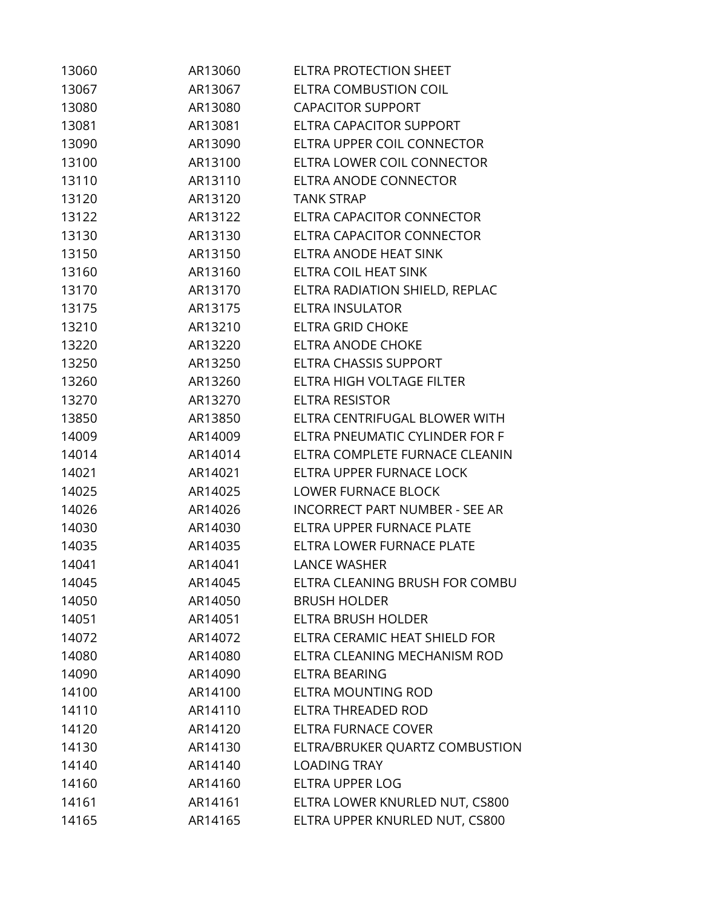| 13060 | AR13060 | <b>ELTRA PROTECTION SHEET</b>         |
|-------|---------|---------------------------------------|
| 13067 | AR13067 | <b>ELTRA COMBUSTION COIL</b>          |
| 13080 | AR13080 | <b>CAPACITOR SUPPORT</b>              |
| 13081 | AR13081 | <b>ELTRA CAPACITOR SUPPORT</b>        |
| 13090 | AR13090 | ELTRA UPPER COIL CONNECTOR            |
| 13100 | AR13100 | ELTRA LOWER COIL CONNECTOR            |
| 13110 | AR13110 | ELTRA ANODE CONNECTOR                 |
| 13120 | AR13120 | <b>TANK STRAP</b>                     |
| 13122 | AR13122 | ELTRA CAPACITOR CONNECTOR             |
| 13130 | AR13130 | ELTRA CAPACITOR CONNECTOR             |
| 13150 | AR13150 | ELTRA ANODE HEAT SINK                 |
| 13160 | AR13160 | ELTRA COIL HEAT SINK                  |
| 13170 | AR13170 | ELTRA RADIATION SHIELD, REPLAC        |
| 13175 | AR13175 | <b>ELTRA INSULATOR</b>                |
| 13210 | AR13210 | <b>ELTRA GRID CHOKE</b>               |
| 13220 | AR13220 | ELTRA ANODE CHOKE                     |
| 13250 | AR13250 | ELTRA CHASSIS SUPPORT                 |
| 13260 | AR13260 | ELTRA HIGH VOLTAGE FILTER             |
| 13270 | AR13270 | ELTRA RESISTOR                        |
| 13850 | AR13850 | ELTRA CENTRIFUGAL BLOWER WITH         |
| 14009 | AR14009 | ELTRA PNEUMATIC CYLINDER FOR F        |
| 14014 | AR14014 | ELTRA COMPLETE FURNACE CLEANIN        |
| 14021 | AR14021 | ELTRA UPPER FURNACE LOCK              |
| 14025 | AR14025 | <b>LOWER FURNACE BLOCK</b>            |
| 14026 | AR14026 | <b>INCORRECT PART NUMBER - SEE AR</b> |
| 14030 | AR14030 | ELTRA UPPER FURNACE PLATE             |
| 14035 | AR14035 | ELTRA LOWER FURNACE PLATE             |
| 14041 | AR14041 | <b>LANCE WASHER</b>                   |
| 14045 | AR14045 | ELTRA CLEANING BRUSH FOR COMBU        |
| 14050 | AR14050 | <b>BRUSH HOLDER</b>                   |
| 14051 | AR14051 | ELTRA BRUSH HOLDER                    |
| 14072 | AR14072 | ELTRA CERAMIC HEAT SHIELD FOR         |
| 14080 | AR14080 | ELTRA CLEANING MECHANISM ROD          |
| 14090 | AR14090 | ELTRA BEARING                         |
| 14100 | AR14100 | <b>ELTRA MOUNTING ROD</b>             |
| 14110 | AR14110 | ELTRA THREADED ROD                    |
| 14120 | AR14120 | <b>ELTRA FURNACE COVER</b>            |
| 14130 | AR14130 | ELTRA/BRUKER QUARTZ COMBUSTION        |
| 14140 | AR14140 | <b>LOADING TRAY</b>                   |
| 14160 | AR14160 | ELTRA UPPER LOG                       |
| 14161 | AR14161 | ELTRA LOWER KNURLED NUT, CS800        |
| 14165 | AR14165 | ELTRA UPPER KNURLED NUT, CS800        |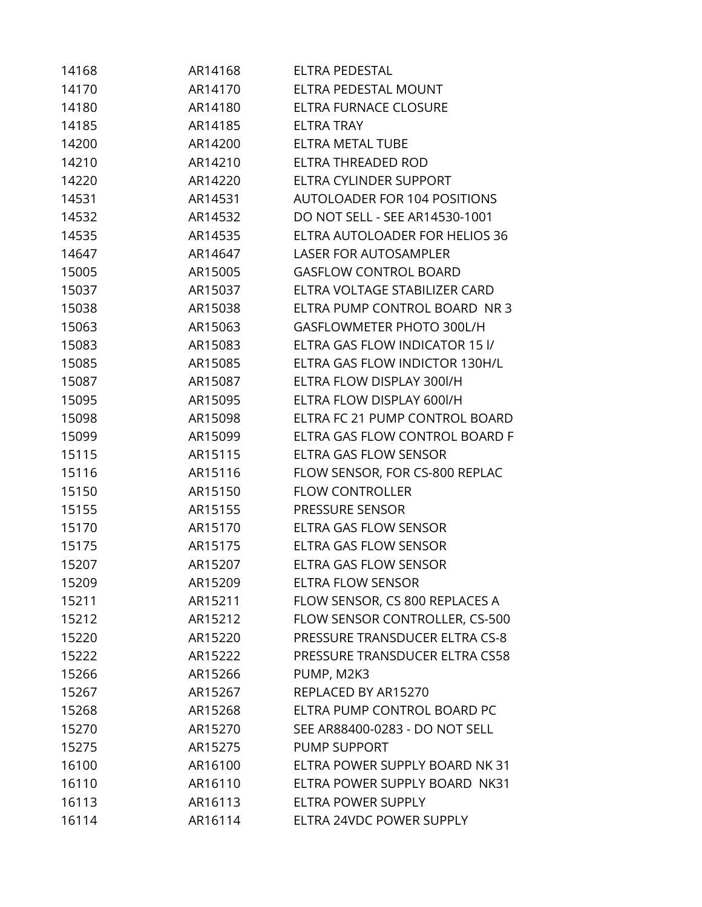| 14168 | AR14168 | ELTRA PEDESTAL                      |
|-------|---------|-------------------------------------|
| 14170 | AR14170 | ELTRA PEDESTAL MOUNT                |
| 14180 | AR14180 | <b>ELTRA FURNACE CLOSURE</b>        |
| 14185 | AR14185 | <b>ELTRA TRAY</b>                   |
| 14200 | AR14200 | ELTRA METAL TUBE                    |
| 14210 | AR14210 | ELTRA THREADED ROD                  |
| 14220 | AR14220 | ELTRA CYLINDER SUPPORT              |
| 14531 | AR14531 | <b>AUTOLOADER FOR 104 POSITIONS</b> |
| 14532 | AR14532 | DO NOT SELL - SEE AR14530-1001      |
| 14535 | AR14535 | ELTRA AUTOLOADER FOR HELIOS 36      |
| 14647 | AR14647 | <b>LASER FOR AUTOSAMPLER</b>        |
| 15005 | AR15005 | <b>GASFLOW CONTROL BOARD</b>        |
| 15037 | AR15037 | ELTRA VOLTAGE STABILIZER CARD       |
| 15038 | AR15038 | ELTRA PUMP CONTROL BOARD NR 3       |
| 15063 | AR15063 | GASFLOWMETER PHOTO 300L/H           |
| 15083 | AR15083 | ELTRA GAS FLOW INDICATOR 15 I/      |
| 15085 | AR15085 | ELTRA GAS FLOW INDICTOR 130H/L      |
| 15087 | AR15087 | ELTRA FLOW DISPLAY 300I/H           |
| 15095 | AR15095 | ELTRA FLOW DISPLAY 600I/H           |
| 15098 | AR15098 | ELTRA FC 21 PUMP CONTROL BOARD      |
| 15099 | AR15099 | ELTRA GAS FLOW CONTROL BOARD F      |
| 15115 | AR15115 | ELTRA GAS FLOW SENSOR               |
| 15116 | AR15116 | FLOW SENSOR, FOR CS-800 REPLAC      |
| 15150 | AR15150 | <b>FLOW CONTROLLER</b>              |
| 15155 | AR15155 | PRESSURE SENSOR                     |
| 15170 | AR15170 | ELTRA GAS FLOW SENSOR               |
| 15175 | AR15175 | ELTRA GAS FLOW SENSOR               |
| 15207 | AR15207 | <b>ELTRA GAS FLOW SENSOR</b>        |
| 15209 | AR15209 | <b>ELTRA FLOW SENSOR</b>            |
| 15211 | AR15211 | FLOW SENSOR, CS 800 REPLACES A      |
| 15212 | AR15212 | FLOW SENSOR CONTROLLER, CS-500      |
| 15220 | AR15220 | PRESSURE TRANSDUCER ELTRA CS-8      |
| 15222 | AR15222 | PRESSURE TRANSDUCER ELTRA CS58      |
| 15266 | AR15266 | PUMP, M2K3                          |
| 15267 | AR15267 | REPLACED BY AR15270                 |
| 15268 | AR15268 | ELTRA PUMP CONTROL BOARD PC         |
| 15270 | AR15270 | SEE AR88400-0283 - DO NOT SELL      |
| 15275 | AR15275 | PUMP SUPPORT                        |
| 16100 | AR16100 | ELTRA POWER SUPPLY BOARD NK 31      |
| 16110 | AR16110 | ELTRA POWER SUPPLY BOARD NK31       |
| 16113 | AR16113 | ELTRA POWER SUPPLY                  |
| 16114 | AR16114 | ELTRA 24VDC POWER SUPPLY            |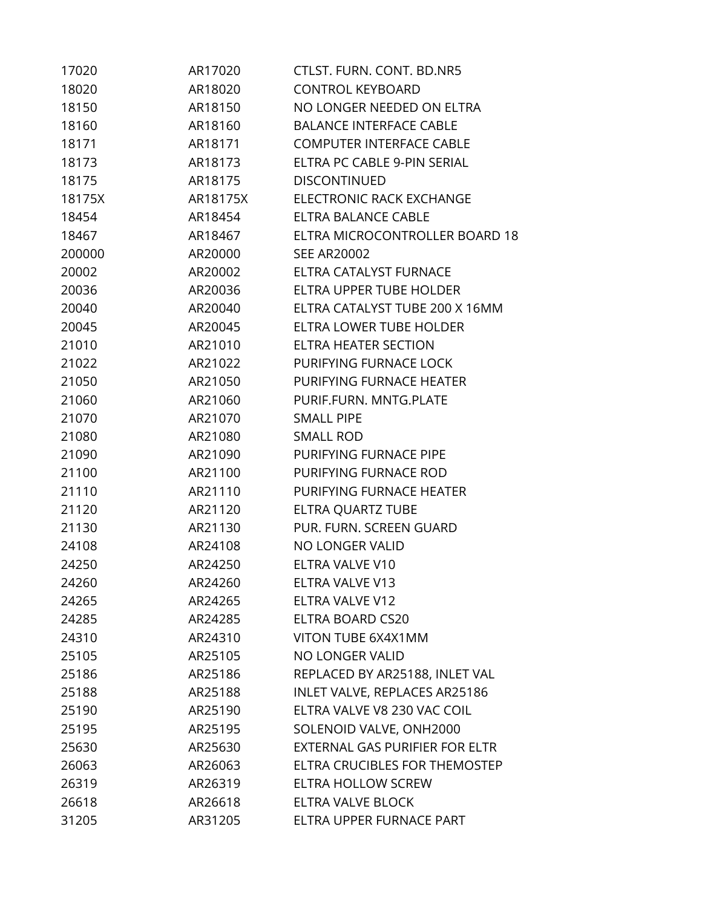| 17020  | AR17020  | CTLST. FURN. CONT. BD.NR5       |
|--------|----------|---------------------------------|
| 18020  | AR18020  | <b>CONTROL KEYBOARD</b>         |
| 18150  | AR18150  | NO LONGER NEEDED ON ELTRA       |
| 18160  | AR18160  | <b>BALANCE INTERFACE CABLE</b>  |
| 18171  | AR18171  | <b>COMPUTER INTERFACE CABLE</b> |
| 18173  | AR18173  | ELTRA PC CABLE 9-PIN SERIAL     |
| 18175  | AR18175  | <b>DISCONTINUED</b>             |
| 18175X | AR18175X | ELECTRONIC RACK EXCHANGE        |
| 18454  | AR18454  | <b>ELTRA BALANCE CABLE</b>      |
| 18467  | AR18467  | ELTRA MICROCONTROLLER BOARD 18  |
| 200000 | AR20000  | <b>SEE AR20002</b>              |
| 20002  | AR20002  | ELTRA CATALYST FURNACE          |
| 20036  | AR20036  | ELTRA UPPER TUBE HOLDER         |
| 20040  | AR20040  | ELTRA CATALYST TUBE 200 X 16MM  |
| 20045  | AR20045  | ELTRA LOWER TUBE HOLDER         |
| 21010  | AR21010  | ELTRA HEATER SECTION            |
| 21022  | AR21022  | PURIFYING FURNACE LOCK          |
| 21050  | AR21050  | PURIFYING FURNACE HEATER        |
| 21060  | AR21060  | PURIF.FURN. MNTG.PLATE          |
| 21070  | AR21070  | <b>SMALL PIPE</b>               |
| 21080  | AR21080  | <b>SMALL ROD</b>                |
| 21090  | AR21090  | PURIFYING FURNACE PIPE          |
| 21100  | AR21100  | PURIFYING FURNACE ROD           |
| 21110  | AR21110  | PURIFYING FURNACE HEATER        |
| 21120  | AR21120  | ELTRA QUARTZ TUBE               |
| 21130  | AR21130  | PUR. FURN. SCREEN GUARD         |
| 24108  | AR24108  | NO LONGER VALID                 |
| 24250  | AR24250  | ELTRA VALVE V10                 |
| 24260  | AR24260  | <b>ELTRA VALVE V13</b>          |
| 24265  | AR24265  | ELTRA VALVE V12                 |
| 24285  | AR24285  | ELTRA BOARD CS20                |
| 24310  | AR24310  | VITON TUBE 6X4X1MM              |
| 25105  | AR25105  | NO LONGER VALID                 |
| 25186  | AR25186  | REPLACED BY AR25188, INLET VAL  |
| 25188  | AR25188  | INLET VALVE, REPLACES AR25186   |
| 25190  | AR25190  | ELTRA VALVE V8 230 VAC COIL     |
| 25195  | AR25195  | SOLENOID VALVE, ONH2000         |
| 25630  | AR25630  | EXTERNAL GAS PURIFIER FOR ELTR  |
| 26063  | AR26063  | ELTRA CRUCIBLES FOR THEMOSTEP   |
| 26319  | AR26319  | ELTRA HOLLOW SCREW              |
| 26618  | AR26618  | ELTRA VALVE BLOCK               |
| 31205  | AR31205  | ELTRA UPPER FURNACE PART        |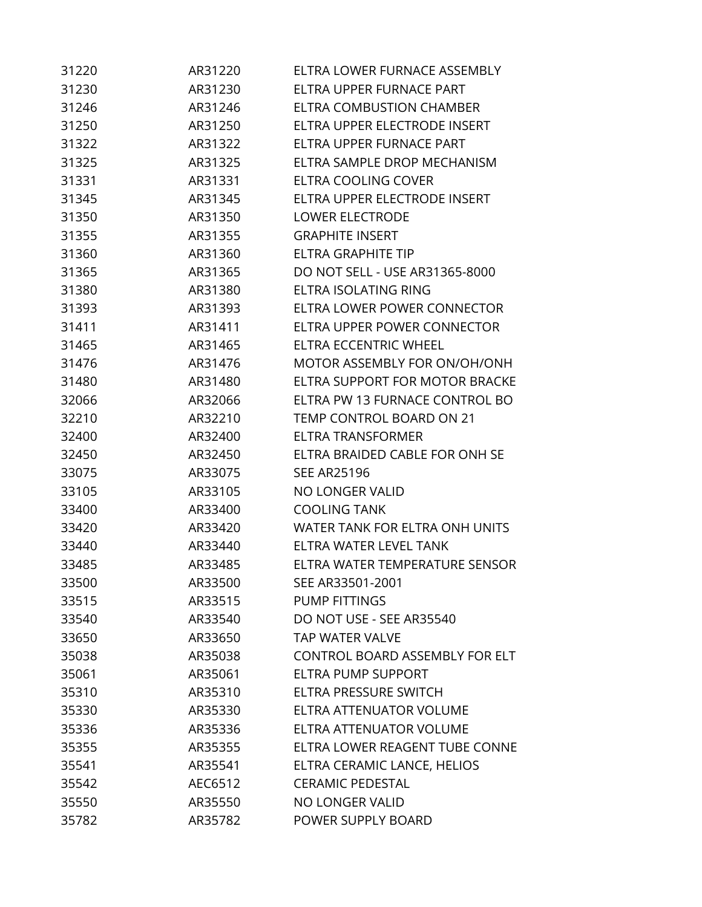| 31220 | AR31220 | ELTRA LOWER FURNACE ASSEMBLY          |
|-------|---------|---------------------------------------|
| 31230 | AR31230 | ELTRA UPPER FURNACE PART              |
| 31246 | AR31246 | ELTRA COMBUSTION CHAMBER              |
| 31250 | AR31250 | ELTRA UPPER ELECTRODE INSERT          |
| 31322 | AR31322 | ELTRA UPPER FURNACE PART              |
| 31325 | AR31325 | ELTRA SAMPLE DROP MECHANISM           |
| 31331 | AR31331 | <b>ELTRA COOLING COVER</b>            |
| 31345 | AR31345 | ELTRA UPPER ELECTRODE INSERT          |
| 31350 | AR31350 | <b>LOWER ELECTRODE</b>                |
| 31355 | AR31355 | <b>GRAPHITE INSERT</b>                |
| 31360 | AR31360 | ELTRA GRAPHITE TIP                    |
| 31365 | AR31365 | DO NOT SELL - USE AR31365-8000        |
| 31380 | AR31380 | ELTRA ISOLATING RING                  |
| 31393 | AR31393 | ELTRA LOWER POWER CONNECTOR           |
| 31411 | AR31411 | ELTRA UPPER POWER CONNECTOR           |
| 31465 | AR31465 | ELTRA ECCENTRIC WHEEL                 |
| 31476 | AR31476 | MOTOR ASSEMBLY FOR ON/OH/ONH          |
| 31480 | AR31480 | ELTRA SUPPORT FOR MOTOR BRACKE        |
| 32066 | AR32066 | ELTRA PW 13 FURNACE CONTROL BO        |
| 32210 | AR32210 | TEMP CONTROL BOARD ON 21              |
| 32400 | AR32400 | <b>ELTRA TRANSFORMER</b>              |
| 32450 | AR32450 | ELTRA BRAIDED CABLE FOR ONH SE        |
| 33075 | AR33075 | <b>SEE AR25196</b>                    |
| 33105 | AR33105 | <b>NO LONGER VALID</b>                |
| 33400 | AR33400 | <b>COOLING TANK</b>                   |
| 33420 | AR33420 | WATER TANK FOR ELTRA ONH UNITS        |
| 33440 | AR33440 | ELTRA WATER LEVEL TANK                |
| 33485 | AR33485 | ELTRA WATER TEMPERATURE SENSOR        |
| 33500 | AR33500 | SEE AR33501-2001                      |
| 33515 | AR33515 | <b>PUMP FITTINGS</b>                  |
| 33540 | AR33540 | DO NOT USE - SEE AR35540              |
| 33650 | AR33650 | <b>TAP WATER VALVE</b>                |
| 35038 | AR35038 | <b>CONTROL BOARD ASSEMBLY FOR ELT</b> |
| 35061 | AR35061 | ELTRA PUMP SUPPORT                    |
| 35310 | AR35310 | ELTRA PRESSURE SWITCH                 |
| 35330 | AR35330 | ELTRA ATTENUATOR VOLUME               |
| 35336 | AR35336 | ELTRA ATTENUATOR VOLUME               |
| 35355 | AR35355 | ELTRA LOWER REAGENT TUBE CONNE        |
| 35541 | AR35541 | ELTRA CERAMIC LANCE, HELIOS           |
| 35542 | AEC6512 | <b>CERAMIC PEDESTAL</b>               |
| 35550 | AR35550 | NO LONGER VALID                       |
| 35782 | AR35782 | POWER SUPPLY BOARD                    |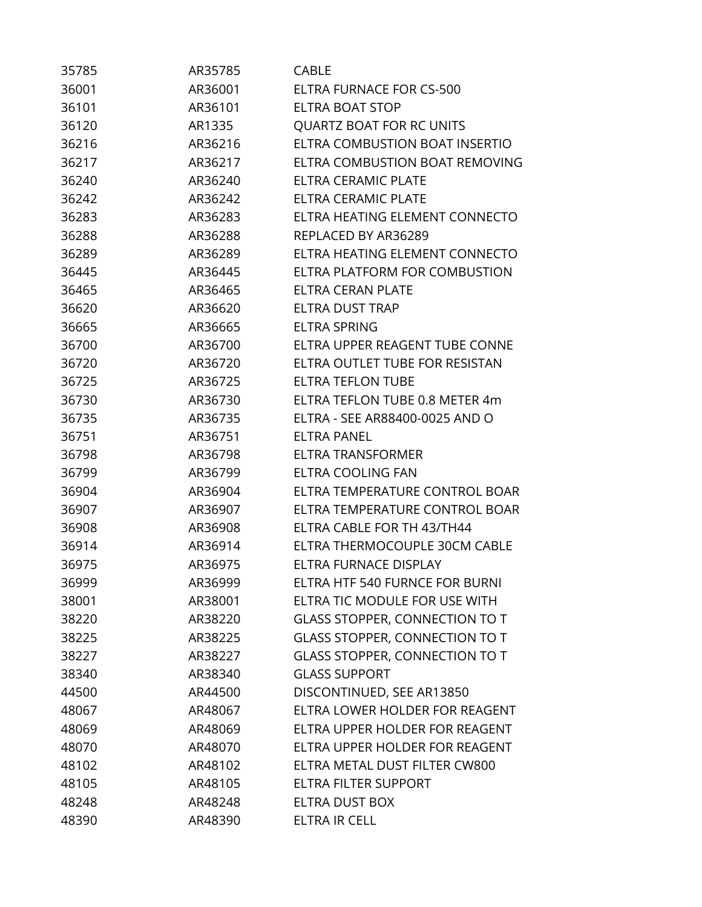| 35785 | AR35785 | CABLE                                 |
|-------|---------|---------------------------------------|
| 36001 | AR36001 | <b>ELTRA FURNACE FOR CS-500</b>       |
| 36101 | AR36101 | <b>ELTRA BOAT STOP</b>                |
| 36120 | AR1335  | <b>QUARTZ BOAT FOR RC UNITS</b>       |
| 36216 | AR36216 | ELTRA COMBUSTION BOAT INSERTIO        |
| 36217 | AR36217 | ELTRA COMBUSTION BOAT REMOVING        |
| 36240 | AR36240 | ELTRA CERAMIC PLATE                   |
| 36242 | AR36242 | <b>ELTRA CERAMIC PLATE</b>            |
| 36283 | AR36283 | ELTRA HEATING ELEMENT CONNECTO        |
| 36288 | AR36288 | REPLACED BY AR36289                   |
| 36289 | AR36289 | ELTRA HEATING ELEMENT CONNECTO        |
| 36445 | AR36445 | ELTRA PLATFORM FOR COMBUSTION         |
| 36465 | AR36465 | ELTRA CERAN PLATE                     |
| 36620 | AR36620 | <b>ELTRA DUST TRAP</b>                |
| 36665 | AR36665 | <b>ELTRA SPRING</b>                   |
| 36700 | AR36700 | ELTRA UPPER REAGENT TUBE CONNE        |
| 36720 | AR36720 | ELTRA OUTLET TUBE FOR RESISTAN        |
| 36725 | AR36725 | <b>ELTRA TEFLON TUBE</b>              |
| 36730 | AR36730 | ELTRA TEFLON TUBE 0.8 METER 4m        |
| 36735 | AR36735 | ELTRA - SEE AR88400-0025 AND O        |
| 36751 | AR36751 | <b>ELTRA PANEL</b>                    |
| 36798 | AR36798 | <b>ELTRA TRANSFORMER</b>              |
| 36799 | AR36799 | <b>ELTRA COOLING FAN</b>              |
| 36904 | AR36904 | ELTRA TEMPERATURE CONTROL BOAR        |
| 36907 | AR36907 | ELTRA TEMPERATURE CONTROL BOAR        |
| 36908 | AR36908 | ELTRA CABLE FOR TH 43/TH44            |
| 36914 | AR36914 | ELTRA THERMOCOUPLE 30CM CABLE         |
| 36975 | AR36975 | ELTRA FURNACE DISPLAY                 |
| 36999 | AR36999 | ELTRA HTF 540 FURNCE FOR BURNI        |
| 38001 | AR38001 | ELTRA TIC MODULE FOR USE WITH         |
| 38220 | AR38220 | <b>GLASS STOPPER, CONNECTION TO T</b> |
| 38225 | AR38225 | <b>GLASS STOPPER, CONNECTION TO T</b> |
| 38227 | AR38227 | <b>GLASS STOPPER, CONNECTION TO T</b> |
| 38340 | AR38340 | <b>GLASS SUPPORT</b>                  |
| 44500 | AR44500 | DISCONTINUED, SEE AR13850             |
| 48067 | AR48067 | ELTRA LOWER HOLDER FOR REAGENT        |
| 48069 | AR48069 | ELTRA UPPER HOLDER FOR REAGENT        |
| 48070 | AR48070 | ELTRA UPPER HOLDER FOR REAGENT        |
| 48102 | AR48102 | ELTRA METAL DUST FILTER CW800         |
| 48105 | AR48105 | <b>ELTRA FILTER SUPPORT</b>           |
| 48248 | AR48248 | ELTRA DUST BOX                        |
| 48390 | AR48390 | ELTRA IR CELL                         |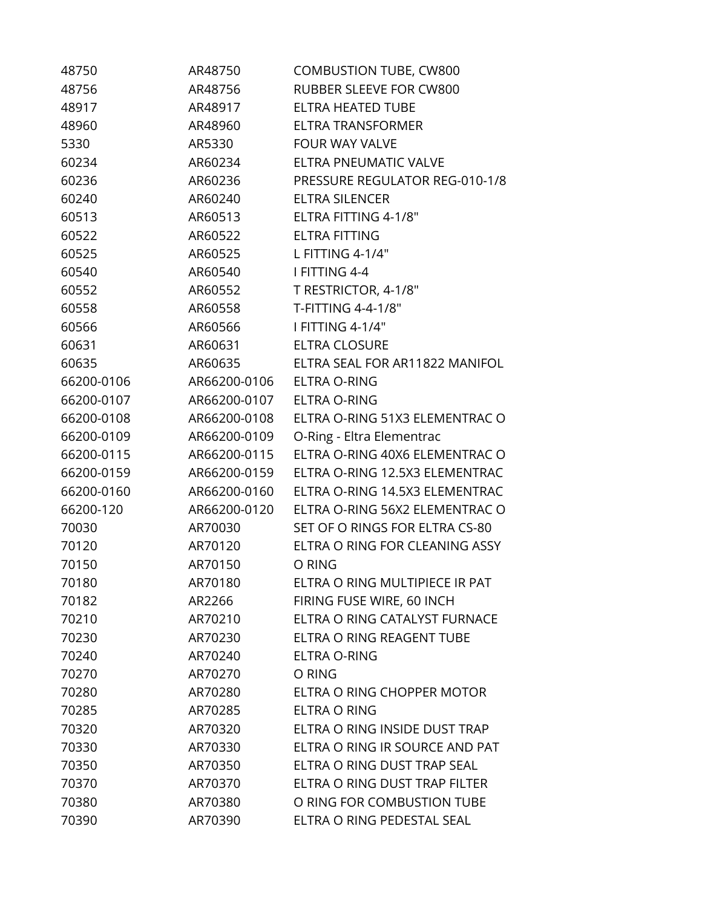| 48750      | AR48750      | <b>COMBUSTION TUBE, CW800</b>         |
|------------|--------------|---------------------------------------|
| 48756      | AR48756      | RUBBER SLEEVE FOR CW800               |
| 48917      | AR48917      | ELTRA HEATED TUBE                     |
| 48960      | AR48960      | <b>ELTRA TRANSFORMER</b>              |
| 5330       | AR5330       | FOUR WAY VALVE                        |
| 60234      | AR60234      | <b>ELTRA PNEUMATIC VALVE</b>          |
| 60236      | AR60236      | <b>PRESSURE REGULATOR REG-010-1/8</b> |
| 60240      | AR60240      | ELTRA SILENCER                        |
| 60513      | AR60513      | ELTRA FITTING 4-1/8"                  |
| 60522      | AR60522      | <b>ELTRA FITTING</b>                  |
| 60525      | AR60525      | L FITTING 4-1/4"                      |
| 60540      | AR60540      | I FITTING 4-4                         |
| 60552      | AR60552      | T RESTRICTOR, 4-1/8"                  |
| 60558      | AR60558      | T-FITTING 4-4-1/8"                    |
| 60566      | AR60566      | I FITTING 4-1/4"                      |
| 60631      | AR60631      | <b>ELTRA CLOSURE</b>                  |
| 60635      | AR60635      | ELTRA SEAL FOR AR11822 MANIFOL        |
| 66200-0106 | AR66200-0106 | <b>ELTRA O-RING</b>                   |
| 66200-0107 | AR66200-0107 | ELTRA O-RING                          |
| 66200-0108 | AR66200-0108 | ELTRA O-RING 51X3 ELEMENTRAC O        |
| 66200-0109 | AR66200-0109 | O-Ring - Eltra Elementrac             |
| 66200-0115 | AR66200-0115 | ELTRA O-RING 40X6 ELEMENTRAC O        |
| 66200-0159 | AR66200-0159 | ELTRA O-RING 12.5X3 ELEMENTRAC        |
| 66200-0160 | AR66200-0160 | ELTRA O-RING 14.5X3 ELEMENTRAC        |
| 66200-120  | AR66200-0120 | ELTRA O-RING 56X2 ELEMENTRAC O        |
| 70030      | AR70030      | SET OF O RINGS FOR ELTRA CS-80        |
| 70120      | AR70120      | ELTRA O RING FOR CLEANING ASSY        |
| 70150      | AR70150      | O RING                                |
| 70180      | AR70180      | ELTRA O RING MULTIPIECE IR PAT        |
| 70182      | AR2266       | FIRING FUSE WIRE, 60 INCH             |
| 70210      | AR70210      | ELTRA O RING CATALYST FURNACE         |
| 70230      | AR70230      | ELTRA O RING REAGENT TUBE             |
| 70240      | AR70240      | <b>ELTRA O-RING</b>                   |
| 70270      | AR70270      | O RING                                |
| 70280      | AR70280      | ELTRA O RING CHOPPER MOTOR            |
| 70285      | AR70285      | <b>ELTRA O RING</b>                   |
| 70320      | AR70320      | ELTRA O RING INSIDE DUST TRAP         |
| 70330      | AR70330      | ELTRA O RING IR SOURCE AND PAT        |
| 70350      | AR70350      | ELTRA O RING DUST TRAP SEAL           |
| 70370      | AR70370      | ELTRA O RING DUST TRAP FILTER         |
| 70380      | AR70380      | O RING FOR COMBUSTION TUBE            |
| 70390      | AR70390      | ELTRA O RING PEDESTAL SEAL            |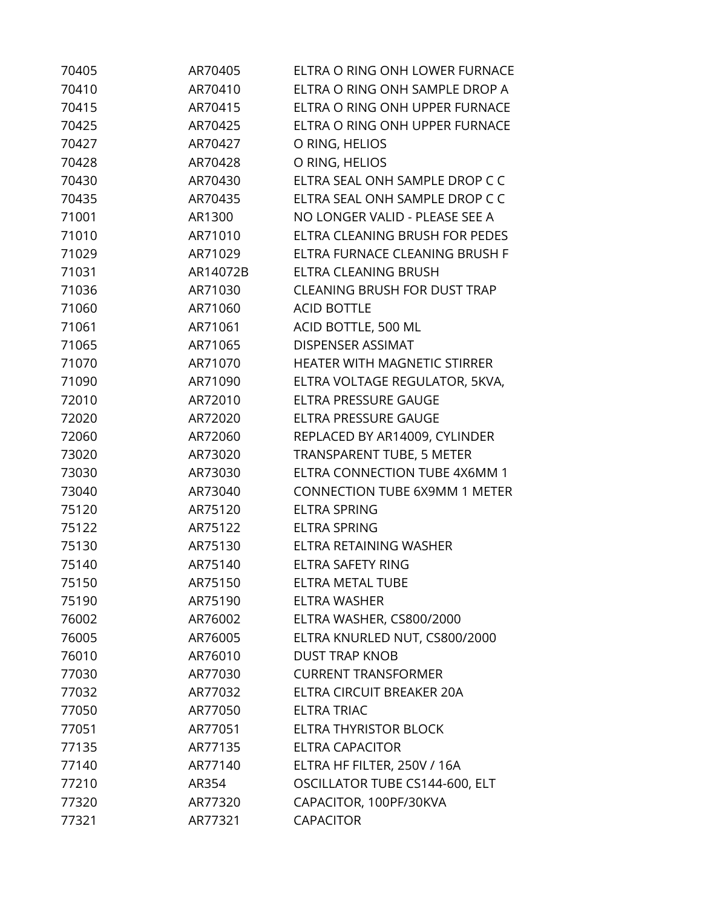| 70405 | AR70405  | ELTRA O RING ONH LOWER FURNACE       |
|-------|----------|--------------------------------------|
| 70410 | AR70410  | ELTRA O RING ONH SAMPLE DROP A       |
| 70415 | AR70415  | ELTRA O RING ONH UPPER FURNACE       |
| 70425 | AR70425  | ELTRA O RING ONH UPPER FURNACE       |
| 70427 | AR70427  | O RING, HELIOS                       |
| 70428 | AR70428  | O RING, HELIOS                       |
| 70430 | AR70430  | ELTRA SEAL ONH SAMPLE DROP C C       |
| 70435 | AR70435  | ELTRA SEAL ONH SAMPLE DROP C C       |
| 71001 | AR1300   | NO LONGER VALID - PLEASE SEE A       |
| 71010 | AR71010  | ELTRA CLEANING BRUSH FOR PEDES       |
| 71029 | AR71029  | ELTRA FURNACE CLEANING BRUSH F       |
| 71031 | AR14072B | ELTRA CLEANING BRUSH                 |
| 71036 | AR71030  | <b>CLEANING BRUSH FOR DUST TRAP</b>  |
| 71060 | AR71060  | <b>ACID BOTTLE</b>                   |
| 71061 | AR71061  | ACID BOTTLE, 500 ML                  |
| 71065 | AR71065  | <b>DISPENSER ASSIMAT</b>             |
| 71070 | AR71070  | HEATER WITH MAGNETIC STIRRER         |
| 71090 | AR71090  | ELTRA VOLTAGE REGULATOR, 5KVA,       |
| 72010 | AR72010  | ELTRA PRESSURE GAUGE                 |
| 72020 | AR72020  | ELTRA PRESSURE GAUGE                 |
| 72060 | AR72060  | REPLACED BY AR14009, CYLINDER        |
| 73020 | AR73020  | <b>TRANSPARENT TUBE, 5 METER</b>     |
| 73030 | AR73030  | ELTRA CONNECTION TUBE 4X6MM 1        |
| 73040 | AR73040  | <b>CONNECTION TUBE 6X9MM 1 METER</b> |
| 75120 | AR75120  | <b>ELTRA SPRING</b>                  |
| 75122 | AR75122  | <b>ELTRA SPRING</b>                  |
| 75130 | AR75130  | ELTRA RETAINING WASHER               |
| 75140 | AR75140  | <b>ELTRA SAFETY RING</b>             |
| 75150 | AR75150  | <b>ELTRA METAL TUBE</b>              |
| 75190 | AR75190  | <b>ELTRA WASHER</b>                  |
| 76002 | AR76002  | ELTRA WASHER, CS800/2000             |
| 76005 | AR76005  | ELTRA KNURLED NUT, CS800/2000        |
| 76010 | AR76010  | <b>DUST TRAP KNOB</b>                |
| 77030 | AR77030  | <b>CURRENT TRANSFORMER</b>           |
| 77032 | AR77032  | ELTRA CIRCUIT BREAKER 20A            |
| 77050 | AR77050  | <b>ELTRA TRIAC</b>                   |
| 77051 | AR77051  | ELTRA THYRISTOR BLOCK                |
| 77135 | AR77135  | <b>ELTRA CAPACITOR</b>               |
| 77140 | AR77140  | ELTRA HF FILTER, 250V / 16A          |
| 77210 | AR354    | OSCILLATOR TUBE CS144-600, ELT       |
| 77320 | AR77320  | CAPACITOR, 100PF/30KVA               |
| 77321 | AR77321  | <b>CAPACITOR</b>                     |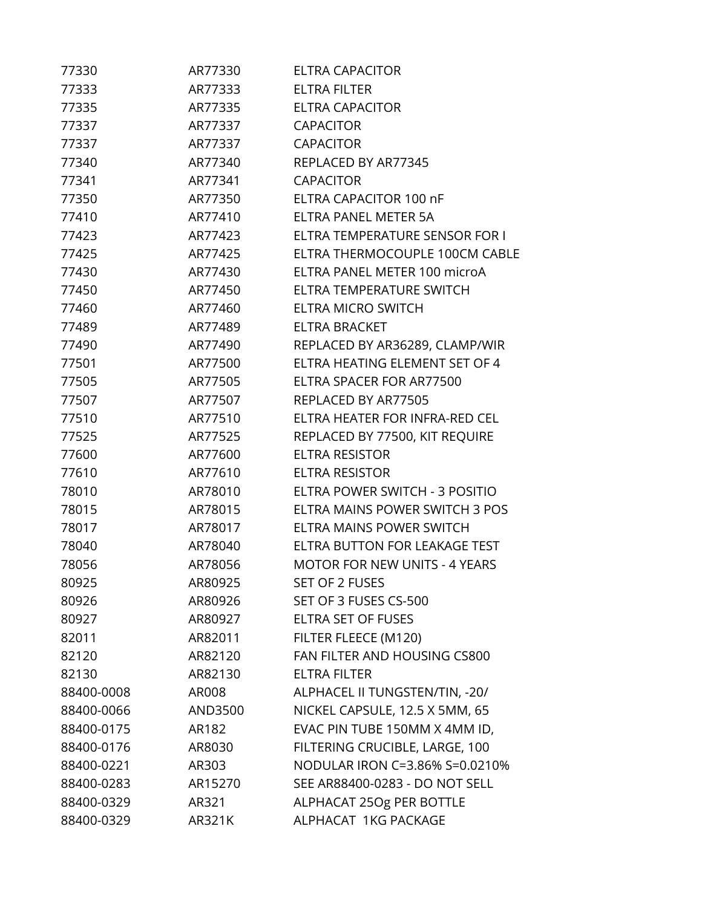| 77330      | AR77330 | <b>ELTRA CAPACITOR</b>               |
|------------|---------|--------------------------------------|
| 77333      | AR77333 | <b>ELTRA FILTER</b>                  |
| 77335      | AR77335 | <b>ELTRA CAPACITOR</b>               |
| 77337      | AR77337 | <b>CAPACITOR</b>                     |
| 77337      | AR77337 | <b>CAPACITOR</b>                     |
| 77340      | AR77340 | REPLACED BY AR77345                  |
| 77341      | AR77341 | <b>CAPACITOR</b>                     |
| 77350      | AR77350 | ELTRA CAPACITOR 100 nF               |
| 77410      | AR77410 | ELTRA PANEL METER 5A                 |
| 77423      | AR77423 | ELTRA TEMPERATURE SENSOR FOR I       |
| 77425      | AR77425 | ELTRA THERMOCOUPLE 100CM CABLE       |
| 77430      | AR77430 | ELTRA PANEL METER 100 microA         |
| 77450      | AR77450 | ELTRA TEMPERATURE SWITCH             |
| 77460      | AR77460 | <b>ELTRA MICRO SWITCH</b>            |
| 77489      | AR77489 | <b>ELTRA BRACKET</b>                 |
| 77490      | AR77490 | REPLACED BY AR36289, CLAMP/WIR       |
| 77501      | AR77500 | ELTRA HEATING ELEMENT SET OF 4       |
| 77505      | AR77505 | ELTRA SPACER FOR AR77500             |
| 77507      | AR77507 | REPLACED BY AR77505                  |
| 77510      | AR77510 | ELTRA HEATER FOR INFRA-RED CEL       |
| 77525      | AR77525 | REPLACED BY 77500, KIT REQUIRE       |
| 77600      | AR77600 | <b>ELTRA RESISTOR</b>                |
| 77610      | AR77610 | <b>ELTRA RESISTOR</b>                |
| 78010      | AR78010 | ELTRA POWER SWITCH - 3 POSITIO       |
| 78015      | AR78015 | ELTRA MAINS POWER SWITCH 3 POS       |
| 78017      | AR78017 | ELTRA MAINS POWER SWITCH             |
| 78040      | AR78040 | ELTRA BUTTON FOR LEAKAGE TEST        |
| 78056      | AR78056 | <b>MOTOR FOR NEW UNITS - 4 YEARS</b> |
| 80925      | AR80925 | <b>SET OF 2 FUSES</b>                |
| 80926      | AR80926 | SET OF 3 FUSES CS-500                |
| 80927      | AR80927 | ELTRA SET OF FUSES                   |
| 82011      | AR82011 | FILTER FLEECE (M120)                 |
| 82120      | AR82120 | FAN FILTER AND HOUSING CS800         |
| 82130      | AR82130 | <b>ELTRA FILTER</b>                  |
| 88400-0008 | AR008   | ALPHACEL II TUNGSTEN/TIN, -20/       |
| 88400-0066 | AND3500 | NICKEL CAPSULE, 12.5 X 5MM, 65       |
| 88400-0175 | AR182   | EVAC PIN TUBE 150MM X 4MM ID,        |
| 88400-0176 | AR8030  | FILTERING CRUCIBLE, LARGE, 100       |
| 88400-0221 | AR303   | NODULAR IRON C=3.86% S=0.0210%       |
| 88400-0283 | AR15270 | SEE AR88400-0283 - DO NOT SELL       |
| 88400-0329 | AR321   | ALPHACAT 25Og PER BOTTLE             |
| 88400-0329 | AR321K  | ALPHACAT 1KG PACKAGE                 |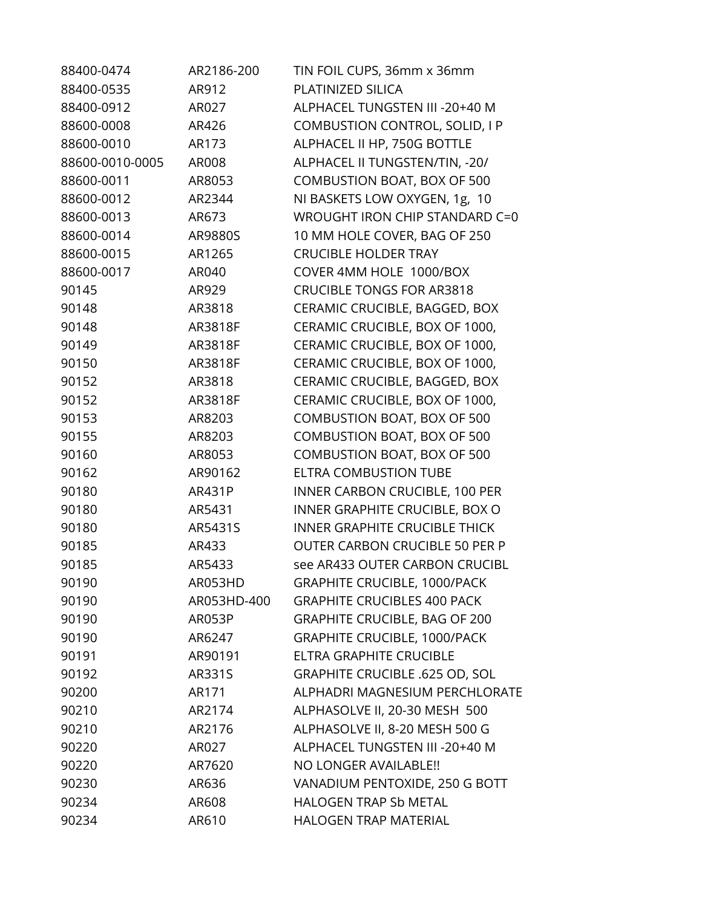| 88400-0474      | AR2186-200  | TIN FOIL CUPS, 36mm x 36mm            |
|-----------------|-------------|---------------------------------------|
| 88400-0535      | AR912       | PLATINIZED SILICA                     |
| 88400-0912      | AR027       | ALPHACEL TUNGSTEN III - 20+40 M       |
| 88600-0008      | AR426       | COMBUSTION CONTROL, SOLID, I P        |
| 88600-0010      | AR173       | ALPHACEL II HP, 750G BOTTLE           |
| 88600-0010-0005 | AR008       | ALPHACEL II TUNGSTEN/TIN, -20/        |
| 88600-0011      | AR8053      | COMBUSTION BOAT, BOX OF 500           |
| 88600-0012      | AR2344      | NI BASKETS LOW OXYGEN, 1g, 10         |
| 88600-0013      | AR673       | WROUGHT IRON CHIP STANDARD C=0        |
| 88600-0014      | AR9880S     | 10 MM HOLE COVER, BAG OF 250          |
| 88600-0015      | AR1265      | <b>CRUCIBLE HOLDER TRAY</b>           |
| 88600-0017      | AR040       | COVER 4MM HOLE 1000/BOX               |
| 90145           | AR929       | <b>CRUCIBLE TONGS FOR AR3818</b>      |
| 90148           | AR3818      | CERAMIC CRUCIBLE, BAGGED, BOX         |
| 90148           | AR3818F     | CERAMIC CRUCIBLE, BOX OF 1000,        |
| 90149           | AR3818F     | CERAMIC CRUCIBLE, BOX OF 1000,        |
| 90150           | AR3818F     | CERAMIC CRUCIBLE, BOX OF 1000,        |
| 90152           | AR3818      | CERAMIC CRUCIBLE, BAGGED, BOX         |
| 90152           | AR3818F     | CERAMIC CRUCIBLE, BOX OF 1000,        |
| 90153           | AR8203      | COMBUSTION BOAT, BOX OF 500           |
| 90155           | AR8203      | COMBUSTION BOAT, BOX OF 500           |
| 90160           | AR8053      | COMBUSTION BOAT, BOX OF 500           |
| 90162           | AR90162     | <b>ELTRA COMBUSTION TUBE</b>          |
| 90180           | AR431P      | <b>INNER CARBON CRUCIBLE, 100 PER</b> |
| 90180           | AR5431      | INNER GRAPHITE CRUCIBLE, BOX O        |
| 90180           | AR5431S     | <b>INNER GRAPHITE CRUCIBLE THICK</b>  |
| 90185           | AR433       | <b>OUTER CARBON CRUCIBLE 50 PER P</b> |
| 90185           | AR5433      | see AR433 OUTER CARBON CRUCIBL        |
| 90190           | AR053HD     | <b>GRAPHITE CRUCIBLE, 1000/PACK</b>   |
| 90190           | AR053HD-400 | <b>GRAPHITE CRUCIBLES 400 PACK</b>    |
| 90190           | AR053P      | <b>GRAPHITE CRUCIBLE, BAG OF 200</b>  |
| 90190           | AR6247      | <b>GRAPHITE CRUCIBLE, 1000/PACK</b>   |
| 90191           | AR90191     | ELTRA GRAPHITE CRUCIBLE               |
| 90192           | AR331S      | GRAPHITE CRUCIBLE .625 OD, SOL        |
| 90200           | AR171       | ALPHADRI MAGNESIUM PERCHLORATE        |
| 90210           | AR2174      | ALPHASOLVE II, 20-30 MESH 500         |
| 90210           | AR2176      | ALPHASOLVE II, 8-20 MESH 500 G        |
| 90220           | AR027       | ALPHACEL TUNGSTEN III - 20+40 M       |
| 90220           | AR7620      | NO LONGER AVAILABLE!!                 |
| 90230           | AR636       | VANADIUM PENTOXIDE, 250 G BOTT        |
| 90234           | AR608       | <b>HALOGEN TRAP Sb METAL</b>          |
| 90234           | AR610       | <b>HALOGEN TRAP MATERIAL</b>          |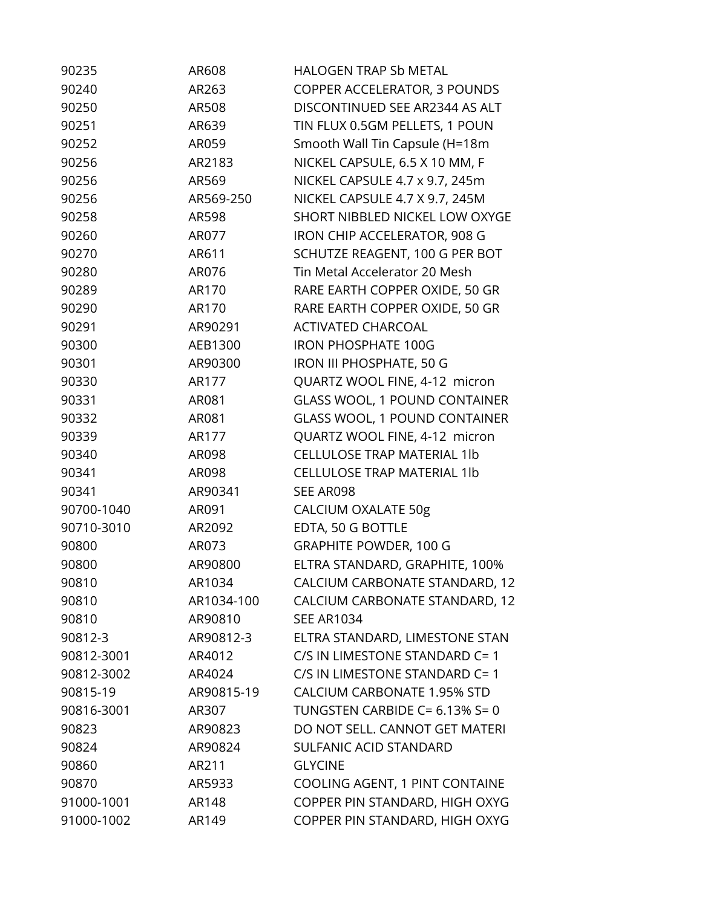| 90235      | AR608      | <b>HALOGEN TRAP Sb METAL</b>         |
|------------|------------|--------------------------------------|
| 90240      | AR263      | COPPER ACCELERATOR, 3 POUNDS         |
| 90250      | AR508      | DISCONTINUED SEE AR2344 AS ALT       |
| 90251      | AR639      | TIN FLUX 0.5GM PELLETS, 1 POUN       |
| 90252      | AR059      | Smooth Wall Tin Capsule (H=18m       |
| 90256      | AR2183     | NICKEL CAPSULE, 6.5 X 10 MM, F       |
| 90256      | AR569      | NICKEL CAPSULE 4.7 x 9.7, 245m       |
| 90256      | AR569-250  | NICKEL CAPSULE 4.7 X 9.7, 245M       |
| 90258      | AR598      | SHORT NIBBLED NICKEL LOW OXYGE       |
| 90260      | AR077      | IRON CHIP ACCELERATOR, 908 G         |
| 90270      | AR611      | SCHUTZE REAGENT, 100 G PER BOT       |
| 90280      | AR076      | Tin Metal Accelerator 20 Mesh        |
| 90289      | AR170      | RARE EARTH COPPER OXIDE, 50 GR       |
| 90290      | AR170      | RARE EARTH COPPER OXIDE, 50 GR       |
| 90291      | AR90291    | <b>ACTIVATED CHARCOAL</b>            |
| 90300      | AEB1300    | <b>IRON PHOSPHATE 100G</b>           |
| 90301      | AR90300    | <b>IRON III PHOSPHATE, 50 G</b>      |
| 90330      | AR177      | QUARTZ WOOL FINE, 4-12 micron        |
| 90331      | AR081      | <b>GLASS WOOL, 1 POUND CONTAINER</b> |
| 90332      | AR081      | <b>GLASS WOOL, 1 POUND CONTAINER</b> |
| 90339      | AR177      | QUARTZ WOOL FINE, 4-12 micron        |
| 90340      | AR098      | <b>CELLULOSE TRAP MATERIAL 1lb</b>   |
| 90341      | AR098      | <b>CELLULOSE TRAP MATERIAL 1lb</b>   |
| 90341      | AR90341    | SEE AR098                            |
| 90700-1040 | AR091      | <b>CALCIUM OXALATE 50g</b>           |
| 90710-3010 | AR2092     | EDTA, 50 G BOTTLE                    |
| 90800      | AR073      | <b>GRAPHITE POWDER, 100 G</b>        |
| 90800      | AR90800    | ELTRA STANDARD, GRAPHITE, 100%       |
| 90810      | AR1034     | CALCIUM CARBONATE STANDARD, 12       |
| 90810      | AR1034-100 | CALCIUM CARBONATE STANDARD, 12       |
| 90810      | AR90810    | <b>SEE AR1034</b>                    |
| 90812-3    | AR90812-3  | ELTRA STANDARD, LIMESTONE STAN       |
| 90812-3001 | AR4012     | C/S IN LIMESTONE STANDARD C= 1       |
| 90812-3002 | AR4024     | C/S IN LIMESTONE STANDARD C= 1       |
| 90815-19   | AR90815-19 | <b>CALCIUM CARBONATE 1.95% STD</b>   |
| 90816-3001 | AR307      | TUNGSTEN CARBIDE C= 6.13% S= 0       |
| 90823      | AR90823    | DO NOT SELL. CANNOT GET MATERI       |
| 90824      | AR90824    | SULFANIC ACID STANDARD               |
| 90860      | AR211      | <b>GLYCINE</b>                       |
| 90870      | AR5933     | COOLING AGENT, 1 PINT CONTAINE       |
| 91000-1001 | AR148      | COPPER PIN STANDARD, HIGH OXYG       |
| 91000-1002 | AR149      | COPPER PIN STANDARD, HIGH OXYG       |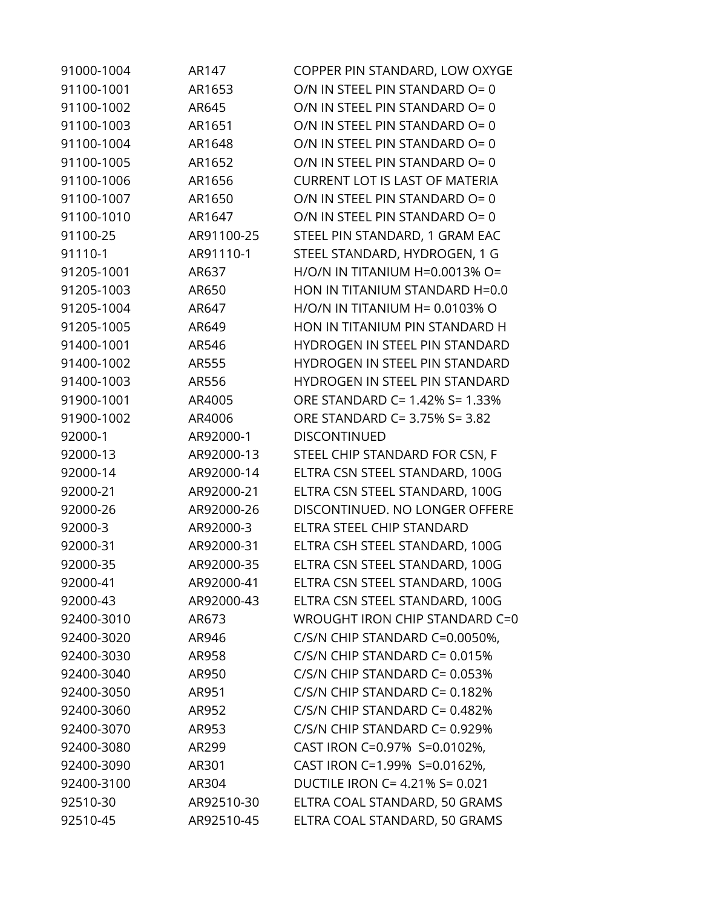| 91000-1004 | AR147      | COPPER PIN STANDARD, LOW OXYGE        |
|------------|------------|---------------------------------------|
| 91100-1001 | AR1653     | O/N IN STEEL PIN STANDARD O= 0        |
| 91100-1002 | AR645      | O/N IN STEEL PIN STANDARD O= 0        |
| 91100-1003 | AR1651     | O/N IN STEEL PIN STANDARD O= 0        |
| 91100-1004 | AR1648     | O/N IN STEEL PIN STANDARD O= 0        |
| 91100-1005 | AR1652     | O/N IN STEEL PIN STANDARD O= 0        |
| 91100-1006 | AR1656     | <b>CURRENT LOT IS LAST OF MATERIA</b> |
| 91100-1007 | AR1650     | O/N IN STEEL PIN STANDARD O= 0        |
| 91100-1010 | AR1647     | O/N IN STEEL PIN STANDARD O= 0        |
| 91100-25   | AR91100-25 | STEEL PIN STANDARD, 1 GRAM EAC        |
| 91110-1    | AR91110-1  | STEEL STANDARD, HYDROGEN, 1 G         |
| 91205-1001 | AR637      | H/O/N IN TITANIUM H=0.0013% O=        |
| 91205-1003 | AR650      | HON IN TITANIUM STANDARD H=0.0        |
| 91205-1004 | AR647      | $H/O/N$ IN TITANIUM $H= 0.0103%$ O    |
| 91205-1005 | AR649      | HON IN TITANIUM PIN STANDARD H        |
| 91400-1001 | AR546      | HYDROGEN IN STEEL PIN STANDARD        |
| 91400-1002 | AR555      | HYDROGEN IN STEEL PIN STANDARD        |
| 91400-1003 | AR556      | HYDROGEN IN STEEL PIN STANDARD        |
| 91900-1001 | AR4005     | ORE STANDARD C= 1.42% S= 1.33%        |
| 91900-1002 | AR4006     | ORE STANDARD C= 3.75% S= 3.82         |
| 92000-1    | AR92000-1  | <b>DISCONTINUED</b>                   |
| 92000-13   | AR92000-13 | STEEL CHIP STANDARD FOR CSN, F        |
| 92000-14   | AR92000-14 | ELTRA CSN STEEL STANDARD, 100G        |
| 92000-21   | AR92000-21 | ELTRA CSN STEEL STANDARD, 100G        |
| 92000-26   | AR92000-26 | DISCONTINUED. NO LONGER OFFERE        |
| 92000-3    | AR92000-3  | ELTRA STEEL CHIP STANDARD             |
| 92000-31   | AR92000-31 | ELTRA CSH STEEL STANDARD, 100G        |
| 92000-35   | AR92000-35 | ELTRA CSN STEEL STANDARD, 100G        |
| 92000-41   | AR92000-41 | ELTRA CSN STEEL STANDARD, 100G        |
| 92000-43   | AR92000-43 | ELTRA CSN STEEL STANDARD, 100G        |
| 92400-3010 | AR673      | WROUGHT IRON CHIP STANDARD C=0        |
| 92400-3020 | AR946      | C/S/N CHIP STANDARD C=0.0050%,        |
| 92400-3030 | AR958      | C/S/N CHIP STANDARD C= 0.015%         |
| 92400-3040 | AR950      | C/S/N CHIP STANDARD C= 0.053%         |
| 92400-3050 | AR951      | C/S/N CHIP STANDARD C= 0.182%         |
| 92400-3060 | AR952      | C/S/N CHIP STANDARD C= 0.482%         |
| 92400-3070 | AR953      | C/S/N CHIP STANDARD C= 0.929%         |
| 92400-3080 | AR299      | CAST IRON C=0.97% S=0.0102%,          |
| 92400-3090 | AR301      | CAST IRON C=1.99% S=0.0162%,          |
| 92400-3100 | AR304      | DUCTILE IRON C= 4.21% S= 0.021        |
| 92510-30   | AR92510-30 | ELTRA COAL STANDARD, 50 GRAMS         |
| 92510-45   | AR92510-45 | ELTRA COAL STANDARD, 50 GRAMS         |